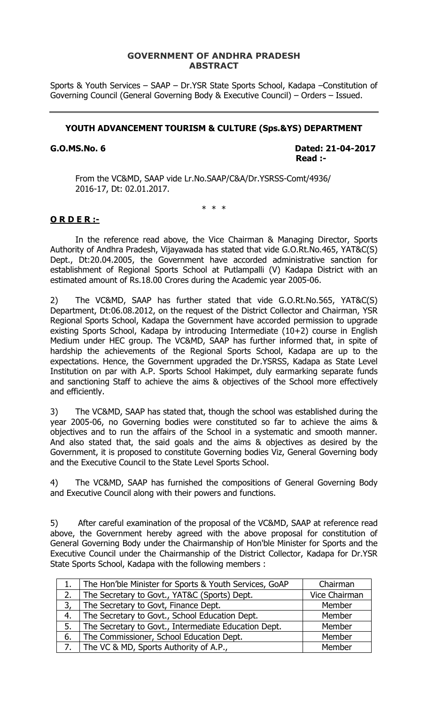### **GOVERNMENT OF ANDHRA PRADESH ABSTRACT**

Sports & Youth Services – SAAP – Dr.YSR State Sports School, Kadapa –Constitution of Governing Council (General Governing Body & Executive Council) – Orders – Issued.

#### **YOUTH ADVANCEMENT TOURISM & CULTURE (Sps.&YS) DEPARTMENT**

**G.O.MS.No. 6 Dated: 21-04-2017 Property the contract of the contract of the Read :-**  $\mathsf{Read}$  :-

From the VC&MD, SAAP vide Lr.No.SAAP/C&A/Dr.YSRSS-Comt/4936/ 2016-17, Dt: 02.01.2017.

\* \* \*

#### **O R D E R :-**

In the reference read above, the Vice Chairman & Managing Director, Sports Authority of Andhra Pradesh, Vijayawada has stated that vide G.O.Rt.No.465, YAT&C(S) Dept., Dt:20.04.2005, the Government have accorded administrative sanction for establishment of Regional Sports School at Putlampalli (V) Kadapa District with an estimated amount of Rs.18.00 Crores during the Academic year 2005-06.

2) The VC&MD, SAAP has further stated that vide G.O.Rt.No.565, YAT&C(S) Department, Dt:06.08.2012, on the request of the District Collector and Chairman, YSR Regional Sports School, Kadapa the Government have accorded permission to upgrade existing Sports School, Kadapa by introducing Intermediate (10+2) course in English Medium under HEC group. The VC&MD, SAAP has further informed that, in spite of hardship the achievements of the Regional Sports School, Kadapa are up to the expectations. Hence, the Government upgraded the Dr.YSRSS, Kadapa as State Level Institution on par with A.P. Sports School Hakimpet, duly earmarking separate funds and sanctioning Staff to achieve the aims & objectives of the School more effectively and efficiently.

3) The VC&MD, SAAP has stated that, though the school was established during the year 2005-06, no Governing bodies were constituted so far to achieve the aims & objectives and to run the affairs of the School in a systematic and smooth manner. And also stated that, the said goals and the aims & objectives as desired by the Government, it is proposed to constitute Governing bodies Viz, General Governing body and the Executive Council to the State Level Sports School.

4) The VC&MD, SAAP has furnished the compositions of General Governing Body and Executive Council along with their powers and functions.

5) After careful examination of the proposal of the VC&MD, SAAP at reference read above, the Government hereby agreed with the above proposal for constitution of General Governing Body under the Chairmanship of Hon'ble Minister for Sports and the Executive Council under the Chairmanship of the District Collector, Kadapa for Dr.YSR State Sports School, Kadapa with the following members :

| 1. | The Hon'ble Minister for Sports & Youth Services, GoAP | Chairman      |
|----|--------------------------------------------------------|---------------|
| 2. | The Secretary to Govt., YAT&C (Sports) Dept.           | Vice Chairman |
| 3, | The Secretary to Govt, Finance Dept.                   | Member        |
| 4. | The Secretary to Govt., School Education Dept.         | Member        |
| 5. | The Secretary to Govt., Intermediate Education Dept.   | Member        |
| 6. | The Commissioner, School Education Dept.               | Member        |
| 7. | The VC & MD, Sports Authority of A.P.,                 | Member        |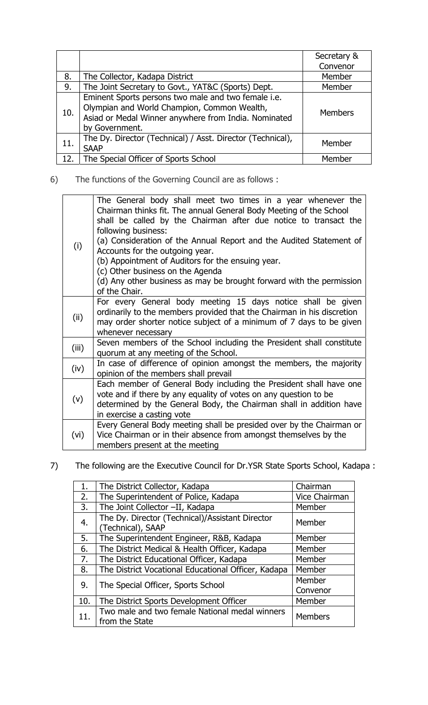|     |                                                                                                                                                                              | Secretary &    |
|-----|------------------------------------------------------------------------------------------------------------------------------------------------------------------------------|----------------|
|     |                                                                                                                                                                              | Convenor       |
| 8.  | The Collector, Kadapa District                                                                                                                                               | Member         |
| 9.  | The Joint Secretary to Govt., YAT&C (Sports) Dept.                                                                                                                           | Member         |
| 10. | Eminent Sports persons two male and two female i.e.<br>Olympian and World Champion, Common Wealth,<br>Asiad or Medal Winner anywhere from India. Nominated<br>by Government. | <b>Members</b> |
| 11. | The Dy. Director (Technical) / Asst. Director (Technical),<br><b>SAAP</b>                                                                                                    | Member         |
| 12. | The Special Officer of Sports School                                                                                                                                         | Memher         |

6) The functions of the Governing Council are as follows :

| (i)   | The General body shall meet two times in a year whenever the<br>Chairman thinks fit. The annual General Body Meeting of the School<br>shall be called by the Chairman after due notice to transact the<br>following business:<br>(a) Consideration of the Annual Report and the Audited Statement of<br>Accounts for the outgoing year.<br>(b) Appointment of Auditors for the ensuing year.<br>(c) Other business on the Agenda<br>(d) Any other business as may be brought forward with the permission<br>of the Chair. |
|-------|---------------------------------------------------------------------------------------------------------------------------------------------------------------------------------------------------------------------------------------------------------------------------------------------------------------------------------------------------------------------------------------------------------------------------------------------------------------------------------------------------------------------------|
| (ii)  | For every General body meeting 15 days notice shall be given<br>ordinarily to the members provided that the Chairman in his discretion<br>may order shorter notice subject of a minimum of 7 days to be given<br>whenever necessary                                                                                                                                                                                                                                                                                       |
| (iii) | Seven members of the School including the President shall constitute<br>quorum at any meeting of the School.                                                                                                                                                                                                                                                                                                                                                                                                              |
| (iv)  | In case of difference of opinion amongst the members, the majority<br>opinion of the members shall prevail                                                                                                                                                                                                                                                                                                                                                                                                                |
| (v)   | Each member of General Body including the President shall have one<br>vote and if there by any equality of votes on any question to be<br>determined by the General Body, the Chairman shall in addition have<br>in exercise a casting vote                                                                                                                                                                                                                                                                               |
| (vi)  | Every General Body meeting shall be presided over by the Chairman or<br>Vice Chairman or in their absence from amongst themselves by the<br>members present at the meeting                                                                                                                                                                                                                                                                                                                                                |

7) The following are the Executive Council for Dr.YSR State Sports School, Kadapa :

| 1 <sub>1</sub> | The District Collector, Kadapa                                       | Chairman      |
|----------------|----------------------------------------------------------------------|---------------|
| 2.             | The Superintendent of Police, Kadapa                                 | Vice Chairman |
| 3.             | The Joint Collector -II, Kadapa                                      | Member        |
| 4.             | The Dy. Director (Technical)/Assistant Director<br>(Technical), SAAP | Member        |
| 5.             | The Superintendent Engineer, R&B, Kadapa                             | Member        |
| 6.             | The District Medical & Health Officer, Kadapa                        | Member        |
| 7.             | The District Educational Officer, Kadapa                             | Member        |
| 8.             | The District Vocational Educational Officer, Kadapa                  | Member        |
| 9.             | The Special Officer, Sports School                                   | Member        |
|                |                                                                      | Convenor      |
| 10.            | The District Sports Development Officer                              | Member        |
| 11.            | Two male and two female National medal winners<br>from the State     | Members       |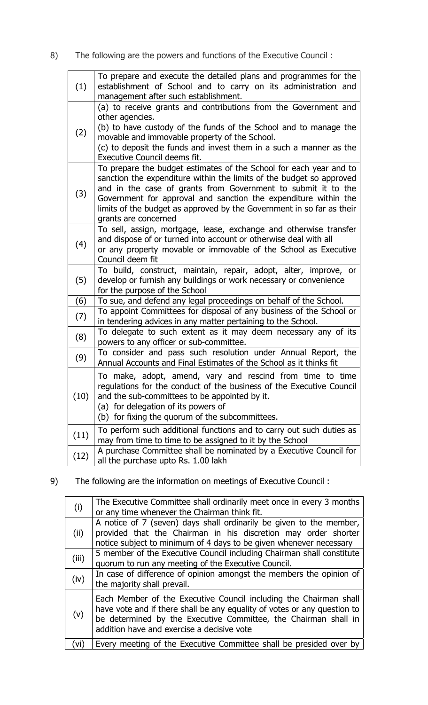8) The following are the powers and functions of the Executive Council :

| (1)  | To prepare and execute the detailed plans and programmes for the<br>establishment of School and to carry on its administration and<br>management after such establishment.                                                                                                                                                                                                      |
|------|---------------------------------------------------------------------------------------------------------------------------------------------------------------------------------------------------------------------------------------------------------------------------------------------------------------------------------------------------------------------------------|
| (2)  | (a) to receive grants and contributions from the Government and<br>other agencies.<br>(b) to have custody of the funds of the School and to manage the<br>movable and immovable property of the School.<br>(c) to deposit the funds and invest them in a such a manner as the<br>Executive Council deems fit.                                                                   |
| (3)  | To prepare the budget estimates of the School for each year and to<br>sanction the expenditure within the limits of the budget so approved<br>and in the case of grants from Government to submit it to the<br>Government for approval and sanction the expenditure within the<br>limits of the budget as approved by the Government in so far as their<br>grants are concerned |
| (4)  | To sell, assign, mortgage, lease, exchange and otherwise transfer<br>and dispose of or turned into account or otherwise deal with all<br>or any property movable or immovable of the School as Executive<br>Council deem fit                                                                                                                                                    |
| (5)  | To build, construct, maintain, repair, adopt, alter, improve, or<br>develop or furnish any buildings or work necessary or convenience<br>for the purpose of the School                                                                                                                                                                                                          |
| (6)  | To sue, and defend any legal proceedings on behalf of the School.                                                                                                                                                                                                                                                                                                               |
| (7)  | To appoint Committees for disposal of any business of the School or<br>in tendering advices in any matter pertaining to the School.                                                                                                                                                                                                                                             |
| (8)  | To delegate to such extent as it may deem necessary any of its<br>powers to any officer or sub-committee.                                                                                                                                                                                                                                                                       |
| (9)  | To consider and pass such resolution under Annual Report, the<br>Annual Accounts and Final Estimates of the School as it thinks fit                                                                                                                                                                                                                                             |
| (10) | To make, adopt, amend, vary and rescind from time to time<br>regulations for the conduct of the business of the Executive Council<br>and the sub-committees to be appointed by it.<br>(a) for delegation of its powers of<br>(b) for fixing the quorum of the subcommittees.                                                                                                    |
| (11) | To perform such additional functions and to carry out such duties as<br>may from time to time to be assigned to it by the School                                                                                                                                                                                                                                                |
| (12) | A purchase Committee shall be nominated by a Executive Council for<br>all the purchase upto Rs. 1.00 lakh                                                                                                                                                                                                                                                                       |

9) The following are the information on meetings of Executive Council :

| (i)   | The Executive Committee shall ordinarily meet once in every 3 months<br>or any time whenever the Chairman think fit.                                                                                                                                           |
|-------|----------------------------------------------------------------------------------------------------------------------------------------------------------------------------------------------------------------------------------------------------------------|
| (ii)  | A notice of 7 (seven) days shall ordinarily be given to the member,<br>provided that the Chairman in his discretion may order shorter<br>notice subject to minimum of 4 days to be given whenever necessary                                                    |
| (iii) | 5 member of the Executive Council including Chairman shall constitute<br>quorum to run any meeting of the Executive Council.                                                                                                                                   |
| (iv)  | In case of difference of opinion amongst the members the opinion of<br>the majority shall prevail.                                                                                                                                                             |
| (v)   | Each Member of the Executive Council including the Chairman shall<br>have vote and if there shall be any equality of votes or any question to<br>be determined by the Executive Committee, the Chairman shall in<br>addition have and exercise a decisive vote |
| (vi)  | Every meeting of the Executive Committee shall be presided over by                                                                                                                                                                                             |